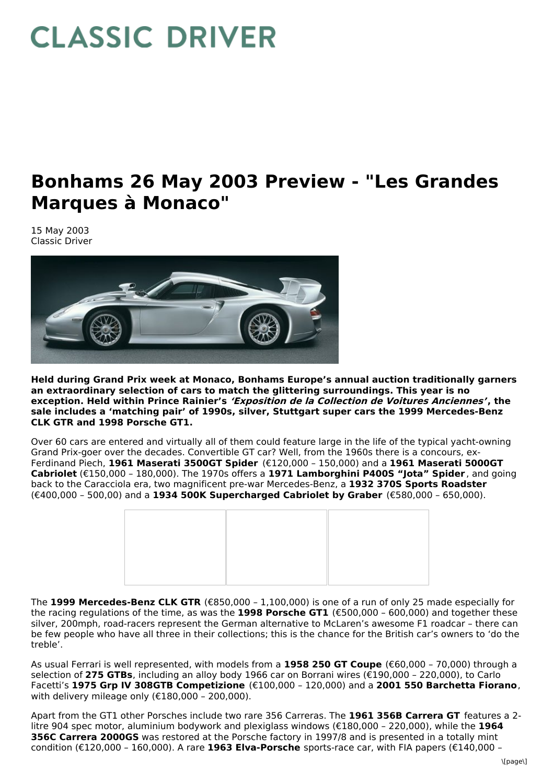## **CLASSIC DRIVER**

## **Bonhams 26 May 2003 Preview - "Les Grandes Marques à Monaco"**

15 May 2003 Classic Driver



**Held during Grand Prix week at Monaco, Bonhams Europe's annual auction traditionally garners an extraordinary selection of cars to match the glittering surroundings. This year is no exception. Held within Prince Rainier's 'Exposition de la Collection de Voitures Anciennes', the sale includes a 'matching pair' of 1990s, silver, Stuttgart super cars the 1999 Mercedes-Benz CLK GTR and 1998 Porsche GT1.**

Over 60 cars are entered and virtually all of them could feature large in the life of the typical yacht-owning Grand Prix-goer over the decades. Convertible GT car? Well, from the 1960s there is a concours, ex-Ferdinand Piech, **1961 Maserati 3500GT Spider** (€120,000 – 150,000) and a **1961 Maserati 5000GT Cabriolet** (€150,000 – 180,000). The 1970s offers a **1971 Lamborghini P400S "Jota" Spider** , and going back to the Caracciola era, two magnificent pre-war Mercedes-Benz, a **1932 370S Sports Roadster** (€400,000 – 500,00) and a **1934 500K Supercharged Cabriolet by Graber** (€580,000 – 650,000).



The **1999 Mercedes-Benz CLK GTR** (€850,000 – 1,100,000) is one of a run of only 25 made especially for the racing regulations of the time, as was the **1998 Porsche GT1** (€500,000 – 600,000) and together these silver, 200mph, road-racers represent the German alternative to McLaren's awesome F1 roadcar – there can be few people who have all three in their collections; this is the chance for the British car's owners to 'do the treble'.

As usual Ferrari is well represented, with models from a **1958 250 GT Coupe** (€60,000 – 70,000) through a selection of **275 GTBs**, including an alloy body 1966 car on Borrani wires (€190,000 – 220,000), to Carlo Facetti's **1975 Grp IV 308GTB Competizione** (€100,000 – 120,000) and a **2001 550 Barchetta Fiorano**, with delivery mileage only (€180,000 – 200,000).

Apart from the GT1 other Porsches include two rare 356 Carreras. The **1961 356B Carrera GT** features a 2 litre 904 spec motor, aluminium bodywork and plexiglass windows (€180,000 – 220,000), while the **1964 356C Carrera 2000GS** was restored at the Porsche factory in 1997/8 and is presented in a totally mint condition (€120,000 – 160,000). A rare **1963 Elva-Porsche** sports-race car, with FIA papers (€140,000 –